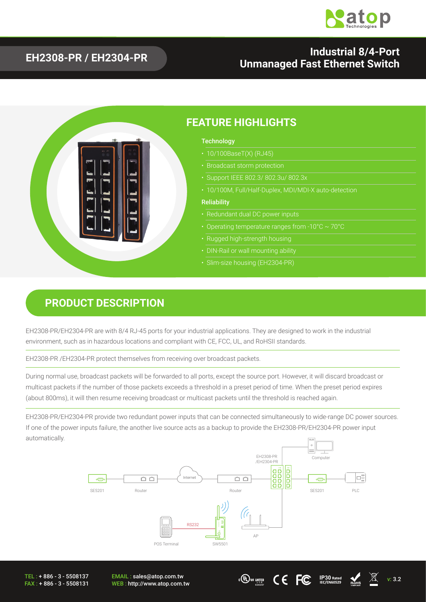

#### **EH2308-PR / EH2304-PR Industrial 8/4-Port Unmanaged Fast Ethernet Switch**



#### **PRODUCT DESCRIPTION**

EH2308-PR/EH2304-PR are with 8/4 RJ-45 ports for your industrial applications. They are designed to work in the industrial environment, such as in hazardous locations and compliant with CE, FCC, UL, and RoHSII standards.

EH2308-PR /EH2304-PR protect themselves from receiving over broadcast packets.

During normal use, broadcast packets will be forwarded to all ports, except the source port. However, it will discard broadcast or multicast packets if the number of those packets exceeds a threshold in a preset period of time. When the preset period expires (about 800ms), it will then resume receiving broadcast or multicast packets until the threshold is reached again.

EH2308-PR/EH2304-PR provide two redundant power inputs that can be connected simultaneously to wide-range DC power sources. If one of the power inputs failure, the another live source acts as a backup to provide the EH2308-PR/EH2304-PR power input automatically.



**E** QU US LISTED

TEL : + 886 - 3 - 5508137 FAX : + 886 - 3 - 5508131 EMAIL : sales@atop.com.tw WEB : http://www.atop.com.tw v: 3.2 **I. T.E**



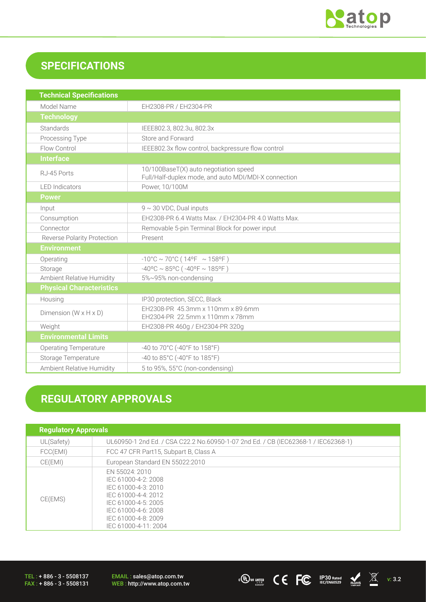

## **SPECIFICATIONS**

| <b>Technical Specifications</b>    |                                                                                               |  |  |
|------------------------------------|-----------------------------------------------------------------------------------------------|--|--|
| Model Name                         | EH2308-PR / EH2304-PR                                                                         |  |  |
| <b>Technology</b>                  |                                                                                               |  |  |
| Standards                          | IEEE802.3, 802.3u, 802.3x                                                                     |  |  |
| Processing Type                    | Store and Forward                                                                             |  |  |
| Flow Control                       | IEEE802.3x flow control, backpressure flow control                                            |  |  |
| <b>Interface</b>                   |                                                                                               |  |  |
| RJ-45 Ports                        | 10/100BaseT(X) auto negotiation speed<br>Full/Half-duplex mode, and auto MDI/MDI-X connection |  |  |
| <b>LED</b> Indicators              | Power, 10/100M                                                                                |  |  |
| <b>Power</b>                       |                                                                                               |  |  |
| Input                              | $9 \sim 30$ VDC, Dual inputs                                                                  |  |  |
| Consumption                        | EH2308-PR 6.4 Watts Max. / EH2304-PR 4.0 Watts Max.                                           |  |  |
| Connector                          | Removable 5-pin Terminal Block for power input                                                |  |  |
| <b>Reverse Polarity Protection</b> | Present                                                                                       |  |  |
| <b>Environment</b>                 |                                                                                               |  |  |
| Operating                          | $-10^{\circ}$ C ~ 70°C (14°F ~ 158°F)                                                         |  |  |
| Storage                            | $-40^{\circ}$ C ~ 85°C ( $-40^{\circ}$ F ~ 185°F)                                             |  |  |
| Ambient Relative Humidity          | 5%~95% non-condensing                                                                         |  |  |
| <b>Physical Characteristics</b>    |                                                                                               |  |  |
| Housing                            | IP30 protection, SECC, Black                                                                  |  |  |
| Dimension $(W \times H \times D)$  | EH2308-PR 45.3mm x 110mm x 89.6mm<br>EH2304-PR 22.5mm x 110mm x 78mm                          |  |  |
| Weight                             | EH2308-PR 460g / EH2304-PR 320g                                                               |  |  |
| <b>Environmental Limits</b>        |                                                                                               |  |  |
| <b>Operating Temperature</b>       | -40 to 70°C (-40°F to 158°F)                                                                  |  |  |
| Storage Temperature                | -40 to 85°C (-40°F to 185°F)                                                                  |  |  |
| <b>Ambient Relative Humidity</b>   | 5 to 95%, 55°C (non-condensing)                                                               |  |  |

# **REGULATORY APPROVALS**

| <b>Regulatory Approvals</b> |                                                                                                                                                                                  |  |
|-----------------------------|----------------------------------------------------------------------------------------------------------------------------------------------------------------------------------|--|
| UL(Safety)                  | UL60950-1 2nd Ed. / CSA C22.2 No.60950-1-07 2nd Ed. / CB (IEC62368-1 / IEC62368-1)                                                                                               |  |
| FCC(EMI)                    | FCC 47 CFR Part15, Subpart B, Class A                                                                                                                                            |  |
| CE(EMI)                     | European Standard EN 55022:2010                                                                                                                                                  |  |
| CE(EMS)                     | EN 55024: 2010<br>IEC 61000-4-2: 2008<br>IEC 61000-4-3: 2010<br>IFC 61000-4-4: 2012<br>IEC 61000-4-5: 2005<br>IEC 61000-4-6: 2008<br>IEC 61000-4-8: 2009<br>IEC 61000-4-11: 2004 |  |

TEL : + 886 - 3 - 5508137 FAX : + 886 - 3 - 5508131 EMAIL : sales@atop.com.tw<br>WEB : http://www.atop.com.tw